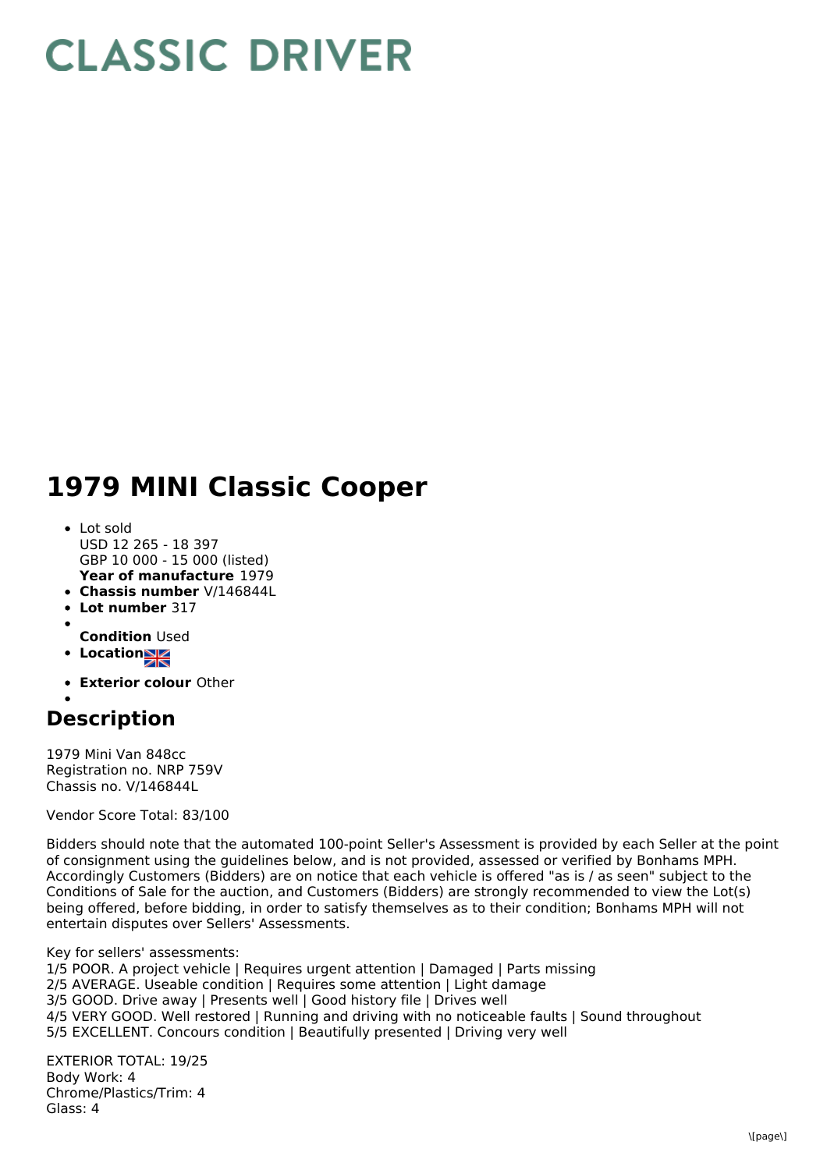## **CLASSIC DRIVER**

## **1979 MINI Classic Cooper**

- **Year of manufacture** 1979 • Lot sold USD 12 265 - 18 397 GBP 10 000 - 15 000 (listed)
- **Chassis number** V/146844L
- **Lot number** 317
- 
- **Condition** Used
- **Locations**
- **Exterior colour** Other

## **Description**

1979 Mini Van 848cc Registration no. NRP 759V Chassis no. V/146844L

Vendor Score Total: 83/100

Bidders should note that the automated 100-point Seller's Assessment is provided by each Seller at the point of consignment using the guidelines below, and is not provided, assessed or verified by Bonhams MPH. Accordingly Customers (Bidders) are on notice that each vehicle is offered "as is / as seen" subject to the Conditions of Sale for the auction, and Customers (Bidders) are strongly recommended to view the Lot(s) being offered, before bidding, in order to satisfy themselves as to their condition; Bonhams MPH will not entertain disputes over Sellers' Assessments.

Key for sellers' assessments: 1/5 POOR. A project vehicle | Requires urgent attention | Damaged | Parts missing 2/5 AVERAGE. Useable condition | Requires some attention | Light damage

- 3/5 GOOD. Drive away | Presents well | Good history file | Drives well
- 4/5 VERY GOOD. Well restored | Running and driving with no noticeable faults | Sound throughout
- 5/5 EXCELLENT. Concours condition | Beautifully presented | Driving very well

EXTERIOR TOTAL: 19/25 Body Work: 4 Chrome/Plastics/Trim: 4 Glass: 4